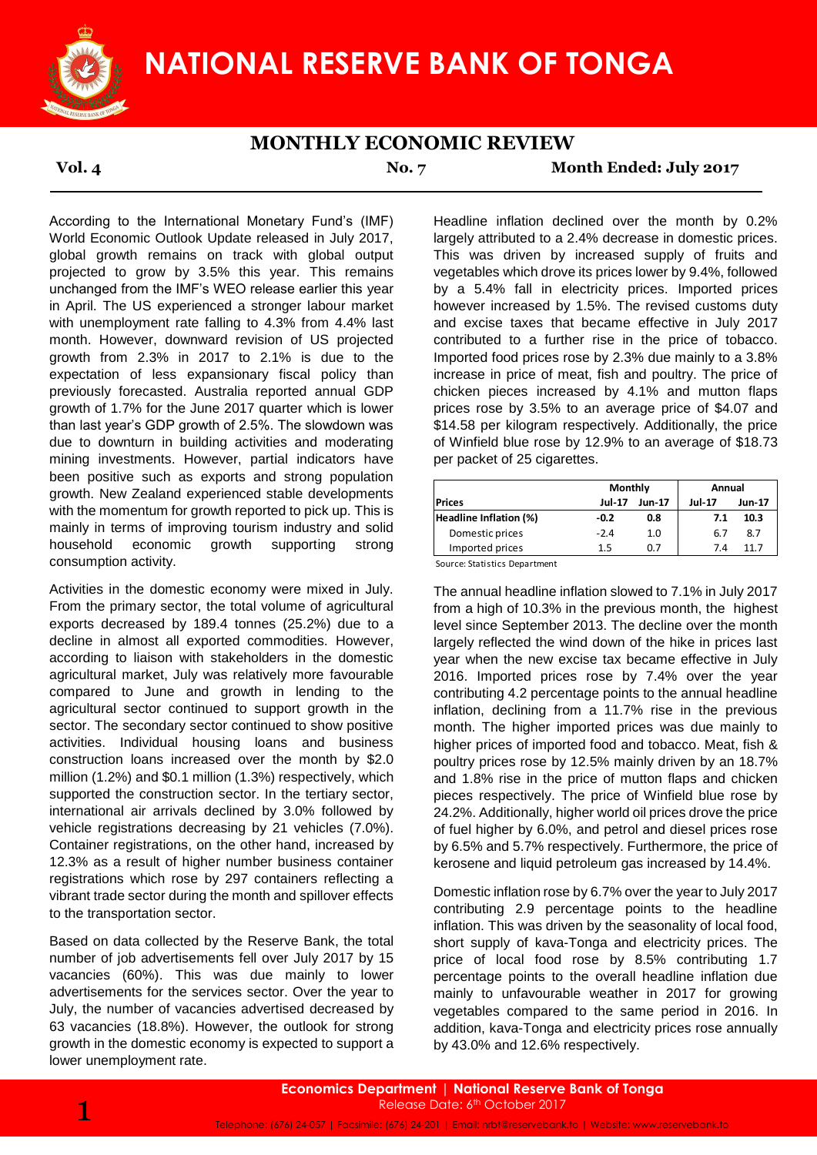

## **MONTHLY ECONOMIC REVIEW**

**Vol. 4 No. 7 Month Ended: July 2017**

According to the International Monetary Fund's (IMF) World Economic Outlook Update released in July 2017, global growth remains on track with global output projected to grow by 3.5% this year. This remains unchanged from the IMF's WEO release earlier this year in April. The US experienced a stronger labour market with unemployment rate falling to 4.3% from 4.4% last month. However, downward revision of US projected growth from 2.3% in 2017 to 2.1% is due to the expectation of less expansionary fiscal policy than previously forecasted. Australia reported annual GDP growth of 1.7% for the June 2017 quarter which is lower than last year's GDP growth of 2.5%. The slowdown was due to downturn in building activities and moderating mining investments. However, partial indicators have been positive such as exports and strong population growth. New Zealand experienced stable developments with the momentum for growth reported to pick up. This is mainly in terms of improving tourism industry and solid household economic growth supporting strong consumption activity.

Activities in the domestic economy were mixed in July. From the primary sector, the total volume of agricultural exports decreased by 189.4 tonnes (25.2%) due to a decline in almost all exported commodities. However, according to liaison with stakeholders in the domestic agricultural market, July was relatively more favourable compared to June and growth in lending to the agricultural sector continued to support growth in the sector. The secondary sector continued to show positive activities. Individual housing loans and business construction loans increased over the month by \$2.0 million (1.2%) and \$0.1 million (1.3%) respectively, which supported the construction sector. In the tertiary sector, international air arrivals declined by 3.0% followed by vehicle registrations decreasing by 21 vehicles (7.0%). Container registrations, on the other hand, increased by 12.3% as a result of higher number business container registrations which rose by 297 containers reflecting a vibrant trade sector during the month and spillover effects to the transportation sector.

Based on data collected by the Reserve Bank, the total number of job advertisements fell over July 2017 by 15 vacancies (60%). This was due mainly to lower advertisements for the services sector. Over the year to July, the number of vacancies advertised decreased by 63 vacancies (18.8%). However, the outlook for strong growth in the domestic economy is expected to support a lower unemployment rate.

Headline inflation declined over the month by 0.2% largely attributed to a 2.4% decrease in domestic prices. This was driven by increased supply of fruits and vegetables which drove its prices lower by 9.4%, followed by a 5.4% fall in electricity prices. Imported prices however increased by 1.5%. The revised customs duty and excise taxes that became effective in July 2017 contributed to a further rise in the price of tobacco. Imported food prices rose by 2.3% due mainly to a 3.8% increase in price of meat, fish and poultry. The price of chicken pieces increased by 4.1% and mutton flaps prices rose by 3.5% to an average price of \$4.07 and \$14.58 per kilogram respectively. Additionally, the price of Winfield blue rose by 12.9% to an average of \$18.73 per packet of 25 cigarettes.

|                        | Monthly       |               | Annual        |        |  |
|------------------------|---------------|---------------|---------------|--------|--|
| <b>Prices</b>          | <b>Jul-17</b> | <b>Jun-17</b> | <b>Jul-17</b> | Jun-17 |  |
| Headline Inflation (%) | $-0.2$        | 0.8           | 7.1           | 10.3   |  |
| Domestic prices        | $-2.4$        | 1.0           | 6.7           | 8.7    |  |
| Imported prices        | 1.5           | 0.7           | 7.4           | 11 7   |  |

Source: Statistics Department

The annual headline inflation slowed to 7.1% in July 2017 from a high of 10.3% in the previous month, the highest level since September 2013. The decline over the month largely reflected the wind down of the hike in prices last year when the new excise tax became effective in July 2016. Imported prices rose by 7.4% over the year contributing 4.2 percentage points to the annual headline inflation, declining from a 11.7% rise in the previous month. The higher imported prices was due mainly to higher prices of imported food and tobacco. Meat, fish & poultry prices rose by 12.5% mainly driven by an 18.7% and 1.8% rise in the price of mutton flaps and chicken pieces respectively. The price of Winfield blue rose by 24.2%. Additionally, higher world oil prices drove the price of fuel higher by 6.0%, and petrol and diesel prices rose by 6.5% and 5.7% respectively. Furthermore, the price of kerosene and liquid petroleum gas increased by 14.4%.

Domestic inflation rose by 6.7% over the year to July 2017 contributing 2.9 percentage points to the headline inflation. This was driven by the seasonality of local food, short supply of kava-Tonga and electricity prices. The price of local food rose by 8.5% contributing 1.7 percentage points to the overall headline inflation due mainly to unfavourable weather in 2017 for growing vegetables compared to the same period in 2016. In addition, kava-Tonga and electricity prices rose annually by 43.0% and 12.6% respectively.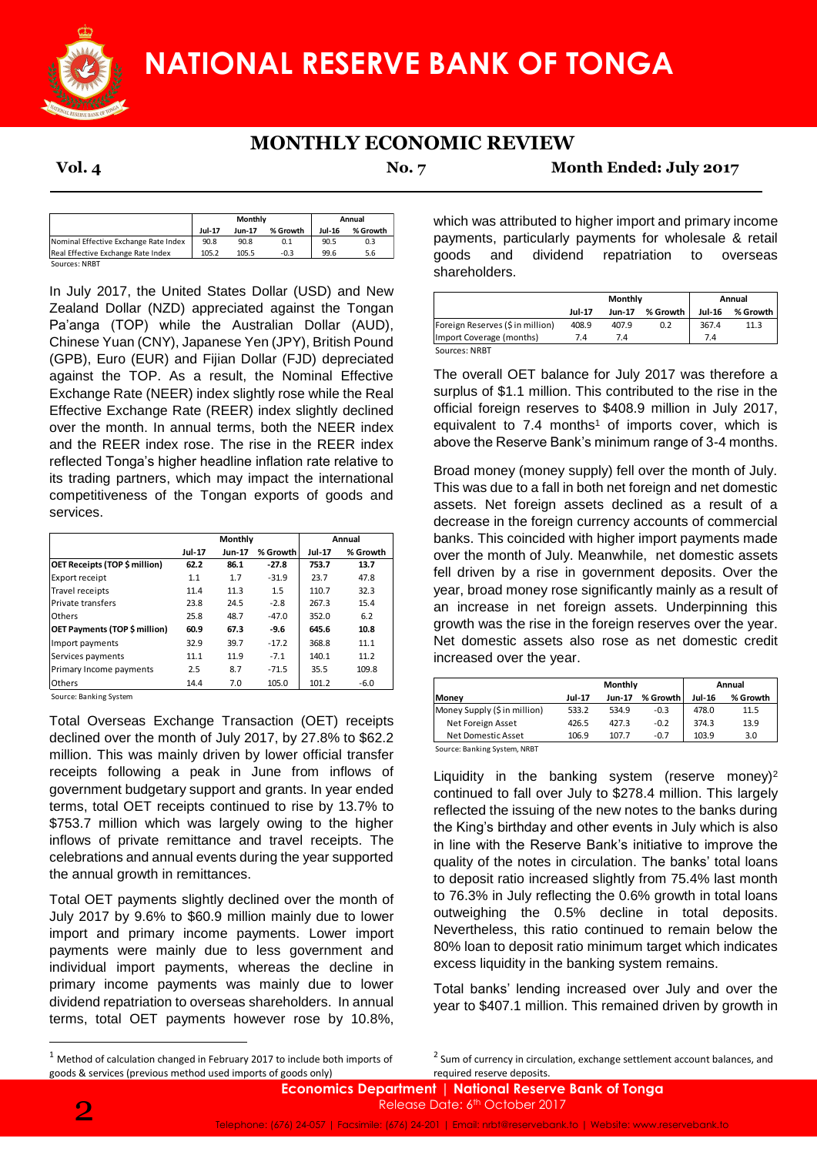

# **MONTHLY ECONOMIC REVIEW**

**Vol. 4 No. 7 Month Ended: July 2017**

|                                       | Monthly       |               |          | Annual        |          |
|---------------------------------------|---------------|---------------|----------|---------------|----------|
|                                       | <b>Jul-17</b> | <b>Jun-17</b> | % Growth | <b>Jul-16</b> | % Growth |
| Nominal Effective Exchange Rate Index | 90.8          | 90.8          | 0.1      | 90.5          | 0.3      |
| Real Effective Exchange Rate Index    | 105.2         | 105.5         | $-0.3$   | 99.6          | 5.6      |

In July 2017, the United States Dollar (USD) and New Zealand Dollar (NZD) appreciated against the Tongan Pa'anga (TOP) while the Australian Dollar (AUD), Chinese Yuan (CNY), Japanese Yen (JPY), British Pound (GPB), Euro (EUR) and Fijian Dollar (FJD) depreciated against the TOP. As a result, the Nominal Effective Exchange Rate (NEER) index slightly rose while the Real Effective Exchange Rate (REER) index slightly declined over the month. In annual terms, both the NEER index and the REER index rose. The rise in the REER index reflected Tonga's higher headline inflation rate relative to its trading partners, which may impact the international competitiveness of the Tongan exports of goods and services. Most the the tead is the tead of the tead of the tead of the tead of the tead of the tead of the Forest Constant (AD), British Pound tead against the Tongan<br>
In the Vendel of Annual Monte (ADD), and New and diversificant D

|                                      | Monthly       |               |          | Annual        |          |
|--------------------------------------|---------------|---------------|----------|---------------|----------|
|                                      | <b>Jul-17</b> | <b>Jun-17</b> | % Growth | <b>Jul-17</b> | % Growth |
| <b>OET Receipts (TOP \$ million)</b> | 62.2          | 86.1          | $-27.8$  | 753.7         | 13.7     |
| Export receipt                       | 1.1           | 1.7           | $-31.9$  | 23.7          | 47.8     |
| Travel receipts                      | 11.4          | 11.3          | 1.5      | 110.7         | 32.3     |
| Private transfers                    | 23.8          | 24.5          | $-2.8$   | 267.3         | 15.4     |
| Others                               | 25.8          | 48.7          | $-47.0$  | 352.0         | 6.2      |
| OET Payments (TOP \$ million)        | 60.9          | 67.3          | -9.6     | 645.6         | 10.8     |
| Import payments                      | 32.9          | 39.7          | $-17.2$  | 368.8         | 11.1     |
| Services payments                    | 11.1          | 11.9          | $-7.1$   | 140.1         | 11.2     |
| Primary Income payments              | 2.5           | 8.7           | $-71.5$  | 35.5          | 109.8    |
| Others                               | 14.4          | 7.0           | 105.0    | 101.2         | $-6.0$   |

Source: Banking System

Total Overseas Exchange Transaction (OET) receipts declined over the month of July 2017, by 27.8% to \$62.2 million. This was mainly driven by lower official transfer receipts following a peak in June from inflows of government budgetary support and grants. In year ended terms, total OET receipts continued to rise by 13.7% to \$753.7 million which was largely owing to the higher inflows of private remittance and travel receipts. The celebrations and annual events during the year supported the annual growth in remittances.

Total OET payments slightly declined over the month of July 2017 by 9.6% to \$60.9 million mainly due to lower import and primary income payments. Lower import payments were mainly due to less government and individual import payments, whereas the decline in primary income payments was mainly due to lower dividend repatriation to overseas shareholders. In annual terms, total OET payments however rose by 10.8%, which was attributed to higher import and primary income payments, particularly payments for wholesale & retail goods and dividend repatriation to overseas shareholders.

| Monthly       |        |          | Annual        |          |  |
|---------------|--------|----------|---------------|----------|--|
| <b>Jul-17</b> | Jun-17 | % Growth | <b>Jul-16</b> | % Growth |  |
| 408.9         | 407.9  | 0.2      | 367.4         | 11.3     |  |
| 7.4           | 7.4    |          | 7.4           |          |  |
|               |        |          |               |          |  |

The overall OET balance for July 2017 was therefore a surplus of \$1.1 million. This contributed to the rise in the official foreign reserves to \$408.9 million in July 2017, equivalent to  $7.4$  months<sup>1</sup> of imports cover, which is above the Reserve Bank's minimum range of 3-4 months.

Broad money (money supply) fell over the month of July. This was due to a fall in both net foreign and net domestic assets. Net foreign assets declined as a result of a decrease in the foreign currency accounts of commercial banks. This coincided with higher import payments made over the month of July. Meanwhile, net domestic assets fell driven by a rise in government deposits. Over the year, broad money rose significantly mainly as a result of an increase in net foreign assets. Underpinning this growth was the rise in the foreign reserves over the year. Net domestic assets also rose as net domestic credit increased over the year.

|                                                         |               | Monthly       | Annual   |               |          |
|---------------------------------------------------------|---------------|---------------|----------|---------------|----------|
| Money                                                   | <b>Jul-17</b> | <b>Jun-17</b> | % Growth | <b>Jul-16</b> | % Growth |
| Money Supply (\$ in million)                            | 533.2         | 534.9         | $-0.3$   | 478.0         | 11.5     |
| Net Foreign Asset                                       | 426.5         | 427.3         | $-0.2$   | 374.3         | 13.9     |
| Net Domestic Asset                                      | 106.9         | 107.7         | $-0.7$   | 103.9         | 3.0      |
| $\sim$ $\sim$ $\sim$ $\sim$ $\sim$ $\sim$ $\sim$ $\sim$ |               |               |          |               |          |

Source: Banking System, NRBT

Liquidity in the banking system (reserve money)<sup>2</sup> continued to fall over July to \$278.4 million. This largely reflected the issuing of the new notes to the banks during the King's birthday and other events in July which is also in line with the Reserve Bank's initiative to improve the quality of the notes in circulation. The banks' total loans to deposit ratio increased slightly from 75.4% last month to 76.3% in July reflecting the 0.6% growth in total loans outweighing the 0.5% decline in total deposits. Nevertheless, this ratio continued to remain below the 80% loan to deposit ratio minimum target which indicates excess liquidity in the banking system remains.

Total banks' lending increased over July and over the year to \$407.1 million. This remained driven by growth in

1

 $1$  Method of calculation changed in February 2017 to include both imports of goods & services (previous method used imports of goods only)

<sup>&</sup>lt;sup>2</sup> Sum of currency in circulation, exchange settlement account balances, and